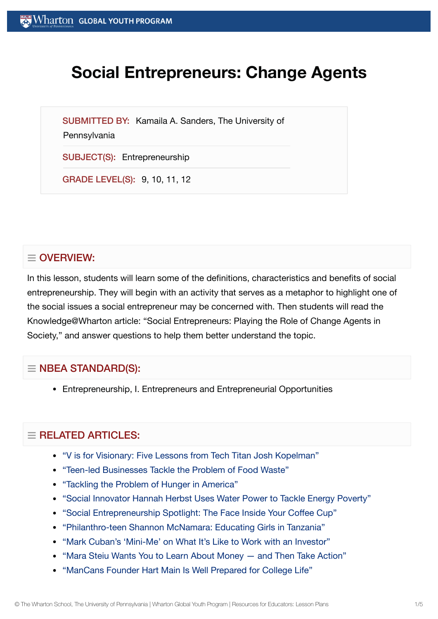# **Social Entrepreneurs: Change Agents**

SUBMITTED BY: Kamaila A. Sanders, The University of

**Pennsylvania** 

SUBJECT(S): Entrepreneurship

GRADE LEVEL(S): 9, 10, 11, 12

# $\equiv$  OVERVIEW:

In this lesson, students will learn some of the definitions, characteristics and benefits of social entrepreneurship. They will begin with an activity that serves as a metaphor to highlight one of the social issues a social entrepreneur may be concerned with. Then students will read the Knowledge@Wharton article: "Social Entrepreneurs: Playing the Role of Change Agents in Society," and answer questions to help them better understand the topic.

## $\equiv$  NBEA STANDARD(S):

Entrepreneurship, I. Entrepreneurs and Entrepreneurial Opportunities

## $=$  RELATED ARTICLES:

- "V is for Visionary: Five [Lessons from](https://globalyouth.wharton.upenn.edu/articles/v-is-for-visionary-five-lessons-from-tech-titan-josh-kopelman/) Tech Titan Josh Kopelman"
- "Teen-led [Businesses Tackle](https://globalyouth.wharton.upenn.edu/articles/teen-businesses-tackle-food-waste/) the Problem of Food Waste"
- ["Tackling](https://globalyouth.wharton.upenn.edu/articles/tackling-the-problem-of-hunger-in-america/) the Problem of Hunger in America"
- "Social Innovator Hannah Herbst Uses Water Power to Tackle [Energy Poverty"](https://globalyouth.wharton.upenn.edu/articles/social-innovator-hannah-herbst-uses-water-power-tackle-energy-poverty/)
- "Social [Entrepreneurship](https://globalyouth.wharton.upenn.edu/articles/social-entrepreneurship-spotlight-the-face-inside-your-coffee-cup/) Spotlight: The Face Inside Your Coffee Cup"
- ["Philanthro-teen](https://globalyouth.wharton.upenn.edu/articles/philanthro-teen-shannon-mcnamara-educating-girls-in-tanzania/) Shannon McNamara: Educating Girls in Tanzania"
- "Mark [Cuban's 'Mini-Me'](https://globalyouth.wharton.upenn.edu/articles/mark-cuban-mini-me-on-work-with-an-investor/) on What It's Like to Work with an Investor"
- "Mara Steiu Wants You to Learn About [Money and](https://globalyouth.wharton.upenn.edu/articles/learn_about_money/) Then Take Action"
- ["ManCans Founder](https://globalyouth.wharton.upenn.edu/articles/hart-main-is-prepared-for-college-life/) Hart Main Is Well Prepared for College Life"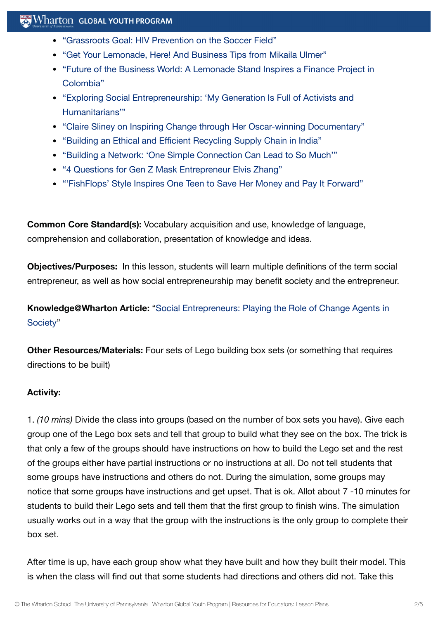#### $\mathbb{R}$  Wharton Global Youth Program

- ["Grassroots Goal:](https://globalyouth.wharton.upenn.edu/articles/grassroots-goal-hiv-prevention-on-the-soccer-field/) HIV Prevention on the Soccer Field"
- "Get Your Lemonade, Here! And [Business Tips from](https://globalyouth.wharton.upenn.edu/articles/get-lemonade-great-business-insight-entrepreneur-mikaila-ulmer/) Mikaila Ulmer"
- "Future of the [Business World:](https://globalyouth.wharton.upenn.edu/articles/future-business-world-lemonade-stand-inspires-project-colombia/) A Lemonade Stand Inspires a Finance Project in Colombia"
- "Exploring Social [Entrepreneurship:](https://globalyouth.wharton.upenn.edu/articles/power-social-entrepreneurship/) 'My Generation Is Full of Activists and Humanitarians'"
- "Claire Sliney on Inspiring Change through Her [Oscar-winning](https://globalyouth.wharton.upenn.edu/articles/claire-sliney-oscar-winning-documentary/) Documentary"
- "Building an Ethical and Efficient Recycling [Supply Chain](https://globalyouth.wharton.upenn.edu/articles/an-ethical-and-efficient-recycling-supply-chain-in-india/) in India"
- "Building a Network: 'One Simple [Connection](https://globalyouth.wharton.upenn.edu/articles/building-network-one-simple-connection-can-lead-much/) Can Lead to So Much'"
- "4 [Questions for](https://globalyouth.wharton.upenn.edu/articles/4-questions-mask-entrepreneur-elvis-zhang/) Gen Z Mask Entrepreneur Elvis Zhang"
- "'FishFlops' Style [Inspires One](https://globalyouth.wharton.upenn.edu/articles/fishflops-style-inspires-one-teen-to-save-her-money-and-pay-it-forward/) Teen to Save Her Money and Pay It Forward"

**Common Core Standard(s):** Vocabulary acquisition and use, knowledge of language, comprehension and collaboration, presentation of knowledge and ideas.

**Objectives/Purposes:** In this lesson, students will learn multiple definitions of the term social entrepreneur, as well as how social entrepreneurship may benefit society and the entrepreneur.

**[Knowledge@Wharton](http://knowledge.wharton.upenn.edu/article.cfm?articleid=766) Article:** "Social Entrepreneurs: Playing the Role of Change Agents in Society"

**Other Resources/Materials:** Four sets of Lego building box sets (or something that requires directions to be built)

#### **Activity:**

1. *(10 mins)* Divide the class into groups (based on the number of box sets you have). Give each group one of the Lego box sets and tell that group to build what they see on the box. The trick is that only a few of the groups should have instructions on how to build the Lego set and the rest of the groups either have partial instructions or no instructions at all. Do not tell students that some groups have instructions and others do not. During the simulation, some groups may notice that some groups have instructions and get upset. That is ok. Allot about 7 -10 minutes for students to build their Lego sets and tell them that the first group to finish wins. The simulation usually works out in a way that the group with the instructions is the only group to complete their box set.

After time is up, have each group show what they have built and how they built their model. This is when the class will find out that some students had directions and others did not. Take this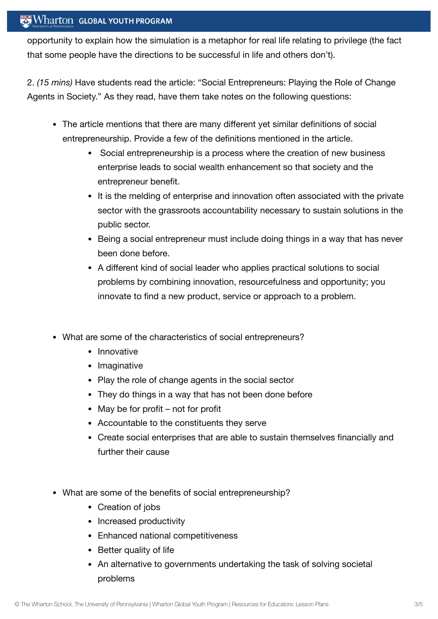#### **Wharton GLOBAL YOUTH PROGRAM**

opportunity to explain how the simulation is a metaphor for real life relating to privilege (the fact that some people have the directions to be successful in life and others don't).

2. *(15 mins)* Have students read the article: "Social Entrepreneurs: Playing the Role of Change Agents in Society." As they read, have them take notes on the following questions:

- The article mentions that there are many different yet similar definitions of social entrepreneurship. Provide a few of the definitions mentioned in the article.
	- Social entrepreneurship is a process where the creation of new business enterprise leads to social wealth enhancement so that society and the entrepreneur benefit.
	- It is the melding of enterprise and innovation often associated with the private sector with the grassroots accountability necessary to sustain solutions in the public sector.
	- Being a social entrepreneur must include doing things in a way that has never been done before.
	- A different kind of social leader who applies practical solutions to social problems by combining innovation, resourcefulness and opportunity; you innovate to find a new product, service or approach to a problem.
- What are some of the characteristics of social entrepreneurs?
	- Innovative
	- Imaginative
	- Play the role of change agents in the social sector
	- They do things in a way that has not been done before
	- May be for profit not for profit
	- Accountable to the constituents they serve
	- Create social enterprises that are able to sustain themselves financially and further their cause
- What are some of the benefits of social entrepreneurship?
	- Creation of jobs
	- Increased productivity
	- Enhanced national competitiveness
	- Better quality of life
	- An alternative to governments undertaking the task of solving societal problems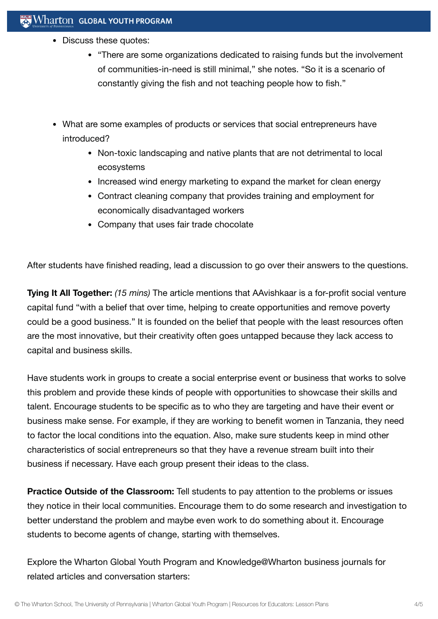- Discuss these quotes:
	- "There are some organizations dedicated to raising funds but the involvement of communities-in-need is still minimal," she notes. "So it is a scenario of constantly giving the fish and not teaching people how to fish."
- What are some examples of products or services that social entrepreneurs have introduced?
	- Non-toxic landscaping and native plants that are not detrimental to local ecosystems
	- Increased wind energy marketing to expand the market for clean energy
	- Contract cleaning company that provides training and employment for economically disadvantaged workers
	- Company that uses fair trade chocolate

After students have finished reading, lead a discussion to go over their answers to the questions.

**Tying It All Together:** *(15 mins)* The article mentions that AAvishkaar is a for-profit social venture capital fund "with a belief that over time, helping to create opportunities and remove poverty could be a good business." It is founded on the belief that people with the least resources often are the most innovative, but their creativity often goes untapped because they lack access to capital and business skills.

Have students work in groups to create a social enterprise event or business that works to solve this problem and provide these kinds of people with opportunities to showcase their skills and talent. Encourage students to be specific as to who they are targeting and have their event or business make sense. For example, if they are working to benefit women in Tanzania, they need to factor the local conditions into the equation. Also, make sure students keep in mind other characteristics of social entrepreneurs so that they have a revenue stream built into their business if necessary. Have each group present their ideas to the class.

**Practice Outside of the Classroom:** Tell students to pay attention to the problems or issues they notice in their local communities. Encourage them to do some research and investigation to better understand the problem and maybe even work to do something about it. Encourage students to become agents of change, starting with themselves.

Explore the Wharton Global Youth Program and Knowledge@Wharton business journals for related articles and conversation starters: